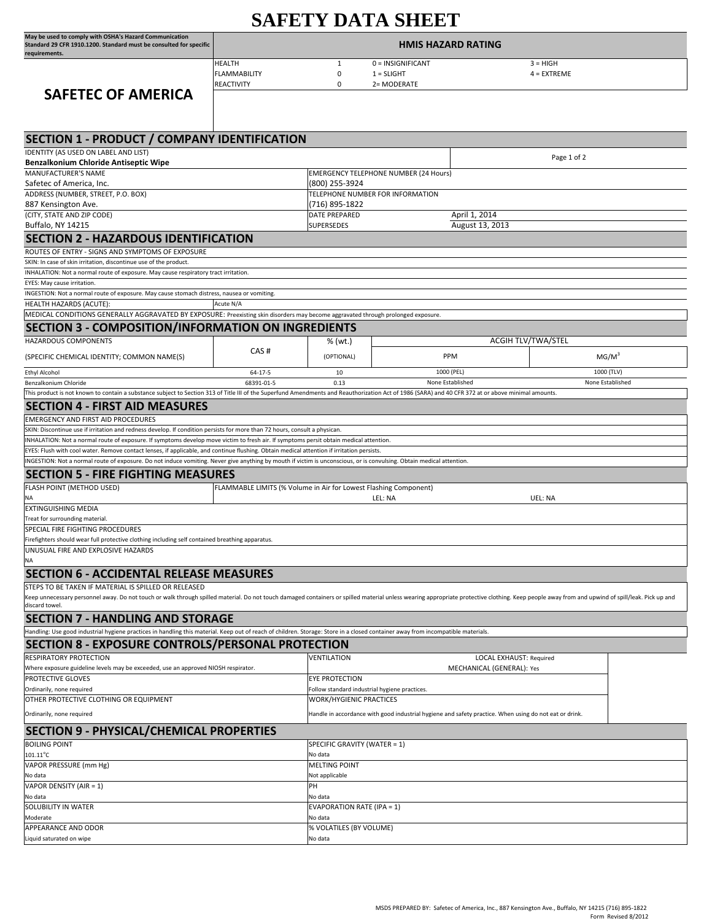| <b>SAFETY DATA SHEET</b>                                                                                                                                                                                                                                                             |                                                                  |                                                                                 |                                                  |                                                                                                        |            |  |
|--------------------------------------------------------------------------------------------------------------------------------------------------------------------------------------------------------------------------------------------------------------------------------------|------------------------------------------------------------------|---------------------------------------------------------------------------------|--------------------------------------------------|--------------------------------------------------------------------------------------------------------|------------|--|
| May be used to comply with OSHA's Hazard Communication<br>Standard 29 CFR 1910.1200. Standard must be consulted for specific<br>requirements.                                                                                                                                        | <b>HMIS HAZARD RATING</b>                                        |                                                                                 |                                                  |                                                                                                        |            |  |
| <b>SAFETEC OF AMERICA</b>                                                                                                                                                                                                                                                            | <b>HEALTH</b><br><b>FLAMMABILITY</b><br><b>REACTIVITY</b>        | 1<br>$\mathbf 0$<br>$\mathbf 0$                                                 | 0 = INSIGNIFICANT<br>$1 = SLIGHT$<br>2= MODERATE | $3 = HIGH$<br>$4 = EXTREME$                                                                            |            |  |
| <b>SECTION 1 - PRODUCT / COMPANY IDENTIFICATION</b>                                                                                                                                                                                                                                  |                                                                  |                                                                                 |                                                  |                                                                                                        |            |  |
| IDENTITY (AS USED ON LABEL AND LIST)                                                                                                                                                                                                                                                 |                                                                  |                                                                                 |                                                  | Page 1 of 2                                                                                            |            |  |
| Benzalkonium Chloride Antiseptic Wipe<br>MANUFACTURER'S NAME                                                                                                                                                                                                                         |                                                                  |                                                                                 | <b>EMERGENCY TELEPHONE NUMBER (24 Hours)</b>     |                                                                                                        |            |  |
| Safetec of America, Inc.                                                                                                                                                                                                                                                             |                                                                  | (800) 255-3924                                                                  |                                                  |                                                                                                        |            |  |
| ADDRESS (NUMBER, STREET, P.O. BOX)                                                                                                                                                                                                                                                   |                                                                  |                                                                                 | TELEPHONE NUMBER FOR INFORMATION                 |                                                                                                        |            |  |
| 887 Kensington Ave.<br>(CITY, STATE AND ZIP CODE)                                                                                                                                                                                                                                    |                                                                  | (716) 895-1822<br>DATE PREPARED                                                 |                                                  |                                                                                                        |            |  |
| Buffalo, NY 14215                                                                                                                                                                                                                                                                    |                                                                  | SUPERSEDES                                                                      |                                                  | April 1, 2014<br>August 13, 2013                                                                       |            |  |
| <b>SECTION 2 - HAZARDOUS IDENTIFICATION</b>                                                                                                                                                                                                                                          |                                                                  |                                                                                 |                                                  |                                                                                                        |            |  |
| ROUTES OF ENTRY - SIGNS AND SYMPTOMS OF EXPOSURE                                                                                                                                                                                                                                     |                                                                  |                                                                                 |                                                  |                                                                                                        |            |  |
| SKIN: In case of skin irritation, discontinue use of the product.                                                                                                                                                                                                                    |                                                                  |                                                                                 |                                                  |                                                                                                        |            |  |
| INHALATION: Not a normal route of exposure. May cause respiratory tract irritation.                                                                                                                                                                                                  |                                                                  |                                                                                 |                                                  |                                                                                                        |            |  |
| EYES: May cause irritation.<br>INGESTION: Not a normal route of exposure. May cause stomach distress, nausea or vomiting.                                                                                                                                                            |                                                                  |                                                                                 |                                                  |                                                                                                        |            |  |
| HEALTH HAZARDS (ACUTE):                                                                                                                                                                                                                                                              | Acute N/A                                                        |                                                                                 |                                                  |                                                                                                        |            |  |
| MEDICAL CONDITIONS GENERALLY AGGRAVATED BY EXPOSURE: Preexisting skin disorders may become aggravated through prolonged exposure.                                                                                                                                                    |                                                                  |                                                                                 |                                                  |                                                                                                        |            |  |
| <b>SECTION 3 - COMPOSITION/INFORMATION ON INGREDIENTS</b>                                                                                                                                                                                                                            |                                                                  |                                                                                 |                                                  |                                                                                                        |            |  |
| <b>HAZARDOUS COMPONENTS</b>                                                                                                                                                                                                                                                          |                                                                  | % (wt.)                                                                         |                                                  | <b>ACGIH TLV/TWA/STEL</b>                                                                              |            |  |
| (SPECIFIC CHEMICAL IDENTITY; COMMON NAME(S)                                                                                                                                                                                                                                          | CAS#                                                             | (OPTIONAL)                                                                      | PPM                                              | MG/M <sup>3</sup>                                                                                      |            |  |
| <b>Ethyl Alcohol</b>                                                                                                                                                                                                                                                                 | $64 - 17 - 5$                                                    | 10                                                                              | 1000 (PEL)                                       |                                                                                                        | 1000 (TLV) |  |
| Benzalkonium Chloride                                                                                                                                                                                                                                                                | 68391-01-5                                                       | 0.13                                                                            | None Established                                 | None Established                                                                                       |            |  |
| This product is not known to contain a substance subject to Section 313 of Title III of the Superfund Amendments and Reauthorization Act of 1986 (SARA) and 40 CFR 372 at or above minimal amounts.                                                                                  |                                                                  |                                                                                 |                                                  |                                                                                                        |            |  |
| <b>SECTION 4 - FIRST AID MEASURES</b>                                                                                                                                                                                                                                                |                                                                  |                                                                                 |                                                  |                                                                                                        |            |  |
| <b>EMERGENCY AND FIRST AID PROCEDURES</b>                                                                                                                                                                                                                                            |                                                                  |                                                                                 |                                                  |                                                                                                        |            |  |
| SKIN: Discontinue use if irritation and redness develop. If condition persists for more than 72 hours, consult a physican.                                                                                                                                                           |                                                                  |                                                                                 |                                                  |                                                                                                        |            |  |
| INHALATION: Not a normal route of exposure. If symptoms develop move victim to fresh air. If symptoms persit obtain medical attention.<br>EYES: Flush with cool water. Remove contact lenses, if applicable, and continue flushing. Obtain medical attention if irritation persists. |                                                                  |                                                                                 |                                                  |                                                                                                        |            |  |
| INGESTION: Not a normal route of exposure. Do not induce vomiting. Never give anything by mouth if victim is unconscious, or is convulsing. Obtain medical attention.                                                                                                                |                                                                  |                                                                                 |                                                  |                                                                                                        |            |  |
| <b>SECTION 5 - FIRE FIGHTING MEASURES</b>                                                                                                                                                                                                                                            |                                                                  |                                                                                 |                                                  |                                                                                                        |            |  |
| FLASH POINT (METHOD USED)                                                                                                                                                                                                                                                            | FLAMMABLE LIMITS (% Volume in Air for Lowest Flashing Component) |                                                                                 |                                                  |                                                                                                        |            |  |
| NA                                                                                                                                                                                                                                                                                   |                                                                  |                                                                                 | LEL: NA                                          | UEL: NA                                                                                                |            |  |
| <b>EXTINGUISHING MEDIA</b>                                                                                                                                                                                                                                                           |                                                                  |                                                                                 |                                                  |                                                                                                        |            |  |
| Treat for surrounding material.<br>SPECIAL FIRE FIGHTING PROCEDURES                                                                                                                                                                                                                  |                                                                  |                                                                                 |                                                  |                                                                                                        |            |  |
| Firefighters should wear full protective clothing including self contained breathing apparatus.                                                                                                                                                                                      |                                                                  |                                                                                 |                                                  |                                                                                                        |            |  |
| UNUSUAL FIRE AND EXPLOSIVE HAZARDS                                                                                                                                                                                                                                                   |                                                                  |                                                                                 |                                                  |                                                                                                        |            |  |
| NA                                                                                                                                                                                                                                                                                   |                                                                  |                                                                                 |                                                  |                                                                                                        |            |  |
| <b>SECTION 6 - ACCIDENTAL RELEASE MEASURES</b>                                                                                                                                                                                                                                       |                                                                  |                                                                                 |                                                  |                                                                                                        |            |  |
| STEPS TO BE TAKEN IF MATERIAL IS SPILLED OR RELEASED                                                                                                                                                                                                                                 |                                                                  |                                                                                 |                                                  |                                                                                                        |            |  |
| Keep unnecessary personnel away. Do not touch or walk through spilled material. Do not touch damaged containers or spilled material unless wearing appropriate protective clothing. Keep people away from and upwind of spill/<br>discard towel.                                     |                                                                  |                                                                                 |                                                  |                                                                                                        |            |  |
| <b>SECTION 7 - HANDLING AND STORAGE</b>                                                                                                                                                                                                                                              |                                                                  |                                                                                 |                                                  |                                                                                                        |            |  |
| Handling: Use good industrial hygiene practices in handling this material. Keep out of reach of children. Storage: Store in a closed container away from incompatible materials.                                                                                                     |                                                                  |                                                                                 |                                                  |                                                                                                        |            |  |
| <b>SECTION 8 - EXPOSURE CONTROLS/PERSONAL PROTECTION</b>                                                                                                                                                                                                                             |                                                                  |                                                                                 |                                                  |                                                                                                        |            |  |
| RESPIRATORY PROTECTION                                                                                                                                                                                                                                                               |                                                                  | VENTILATION                                                                     |                                                  | <b>LOCAL EXHAUST: Required</b>                                                                         |            |  |
| Where exposure guideline levels may be exceeded, use an approved NIOSH respirator.                                                                                                                                                                                                   |                                                                  |                                                                                 |                                                  | MECHANICAL (GENERAL): Yes                                                                              |            |  |
| PROTECTIVE GLOVES                                                                                                                                                                                                                                                                    |                                                                  | <b>EYE PROTECTION</b>                                                           |                                                  |                                                                                                        |            |  |
| Ordinarily, none required<br>OTHER PROTECTIVE CLOTHING OR EQUIPMENT                                                                                                                                                                                                                  |                                                                  | Follow standard industrial hygiene practices.<br><b>WORK/HYGIENIC PRACTICES</b> |                                                  |                                                                                                        |            |  |
|                                                                                                                                                                                                                                                                                      |                                                                  |                                                                                 |                                                  |                                                                                                        |            |  |
| Ordinarily, none required                                                                                                                                                                                                                                                            |                                                                  |                                                                                 |                                                  | Handle in accordance with good industrial hygiene and safety practice. When using do not eat or drink. |            |  |
| <b>SECTION 9 - PHYSICAL/CHEMICAL PROPERTIES</b>                                                                                                                                                                                                                                      |                                                                  |                                                                                 |                                                  |                                                                                                        |            |  |
| <b>BOILING POINT</b>                                                                                                                                                                                                                                                                 |                                                                  | SPECIFIC GRAVITY (WATER = 1)                                                    |                                                  |                                                                                                        |            |  |
| $101.11^{\circ}$ C<br>VAPOR PRESSURE (mm Hg)                                                                                                                                                                                                                                         |                                                                  | No data<br><b>MELTING POINT</b>                                                 |                                                  |                                                                                                        |            |  |
| No data                                                                                                                                                                                                                                                                              |                                                                  | Not applicable                                                                  |                                                  |                                                                                                        |            |  |
| VAPOR DENSITY (AIR = 1)                                                                                                                                                                                                                                                              |                                                                  | PH                                                                              |                                                  |                                                                                                        |            |  |
| No data                                                                                                                                                                                                                                                                              |                                                                  | No data                                                                         |                                                  |                                                                                                        |            |  |
| SOLUBILITY IN WATER<br>Moderate                                                                                                                                                                                                                                                      |                                                                  | <b>EVAPORATION RATE (IPA = 1)</b><br>No data                                    |                                                  |                                                                                                        |            |  |
| APPEARANCE AND ODOR                                                                                                                                                                                                                                                                  |                                                                  | % VOLATILES (BY VOLUME)                                                         |                                                  |                                                                                                        |            |  |

Liquid saturated on wipe No data